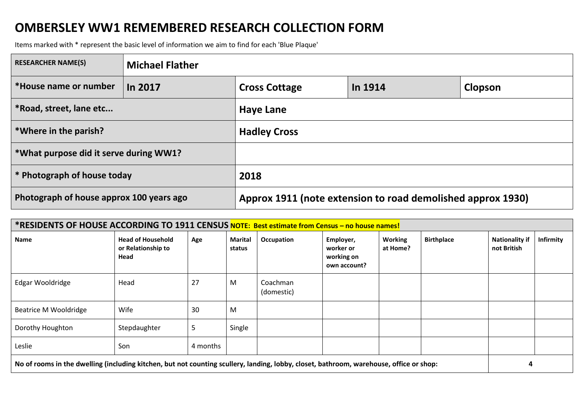## **OMBERSLEY WW1 REMEMBERED RESEARCH COLLECTION FORM**

Items marked with \* represent the basic level of information we aim to find for each 'Blue Plaque'

| <b>RESEARCHER NAME(S)</b>                | <b>Michael Flather</b> |                                                             |         |                |  |  |
|------------------------------------------|------------------------|-------------------------------------------------------------|---------|----------------|--|--|
| *House name or number                    | In 2017                | <b>Cross Cottage</b>                                        | In 1914 | <b>Clopson</b> |  |  |
| *Road, street, lane etc                  |                        | <b>Haye Lane</b>                                            |         |                |  |  |
| *Where in the parish?                    |                        | <b>Hadley Cross</b>                                         |         |                |  |  |
| *What purpose did it serve during WW1?   |                        |                                                             |         |                |  |  |
| <sup>*</sup> Photograph of house today   |                        | 2018                                                        |         |                |  |  |
| Photograph of house approx 100 years ago |                        | Approx 1911 (note extension to road demolished approx 1930) |         |                |  |  |

| *RESIDENTS OF HOUSE ACCORDING TO 1911 CENSUS NOTE: Best estimate from Census - no house names!                                          |                                                        |          |                          |                        |                                                      |                            |                   |                                      |                  |
|-----------------------------------------------------------------------------------------------------------------------------------------|--------------------------------------------------------|----------|--------------------------|------------------------|------------------------------------------------------|----------------------------|-------------------|--------------------------------------|------------------|
| Name                                                                                                                                    | <b>Head of Household</b><br>or Relationship to<br>Head | Age      | <b>Marital</b><br>status | Occupation             | Employer,<br>worker or<br>working on<br>own account? | <b>Working</b><br>at Home? | <b>Birthplace</b> | <b>Nationality if</b><br>not British | <b>Infirmity</b> |
| Edgar Wooldridge                                                                                                                        | Head                                                   | 27       | M                        | Coachman<br>(domestic) |                                                      |                            |                   |                                      |                  |
| <b>Beatrice M Wooldridge</b>                                                                                                            | Wife                                                   | 30       | M                        |                        |                                                      |                            |                   |                                      |                  |
| Dorothy Houghton                                                                                                                        | Stepdaughter                                           | 5        | Single                   |                        |                                                      |                            |                   |                                      |                  |
| Leslie                                                                                                                                  | Son                                                    | 4 months |                          |                        |                                                      |                            |                   |                                      |                  |
| No of rooms in the dwelling (including kitchen, but not counting scullery, landing, lobby, closet, bathroom, warehouse, office or shop: |                                                        |          |                          |                        |                                                      | 4                          |                   |                                      |                  |